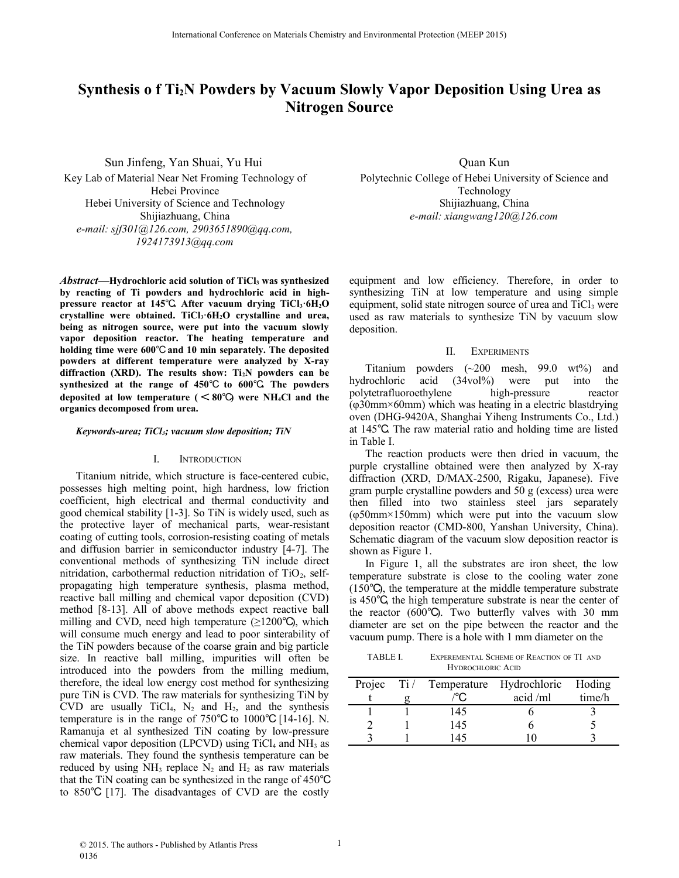# **Synthesis o f Ti2N Powders by Vacuum Slowly Vapor Deposition Using Urea as Nitrogen Source**

Sun Jinfeng, Yan Shuai, Yu Hui Key Lab of Material Near Net Froming Technology of Hebei Province Hebei University of Science and Technology Shijiazhuang, China *e-mail: [sjf301@126.com,](mailto:sjf301@126.com) [2903651890@qq.com,](mailto:2903651890@qq.com) [1924173913@qq.com](mailto:1924173913@qq.com)*

*Abstract***—[Hydrochloric acid solution](http://dict.cnki.net/dict_result.aspx?searchword=%E7%9B%90%E9%85%B8%E6%BA%B6%E6%B6%B2&tjType=sentence&style=&t=hydrochloric+acid+solution) of TiCl3 was synthesized by reacting of Ti powders and hydrochloric acid in [high](http://dict.cnki.net/dict_result.aspx?searchword=%E9%AB%98%E5%8E%8B%E5%8F%8D%E5%BA%94%E9%87%9C&tjType=sentence&style=&t=high-pressure+reactor)[pressure reactor](http://dict.cnki.net/dict_result.aspx?searchword=%E9%AB%98%E5%8E%8B%E5%8F%8D%E5%BA%94%E9%87%9C&tjType=sentence&style=&t=high-pressure+reactor) at 145**℃**. After vacuum drying TiCl3·6H2O crystalline were obtained. TiCl3·6H2O crystalline and urea, being as nitrogen source, were put into the vacuum slowly vapor deposition reactor. The heating temperature and holding time were 600**℃ **and 10 min separately. The deposited powders at different temperature were analyzed by X-ray diffraction (XRD). The results show: Ti2N powders can be synthesized at the range of 450**℃ **to 600**℃**. The powders deposited at low temperature (** < **80**℃**) were NH4Cl and the organics decomposed from urea.**

### *Keywords-urea; TiCl3; vacuum slow deposition; TiN*

#### I. INTRODUCTION

Titanium nitride, which structure is face-centered cubic, possesses high melting point, high hardness, low friction coefficient, high electrical and thermal conductivity and good chemical stability [1-3]. So TiN is widely used, such as the protective layer of mechanical parts, [wear-resistant](http://dict.cnki.net/dict_result.aspx?searchword=%E8%80%90%E7%A3%A8%E6%B6%82%E5%B1%82&tjType=sentence&style=&t=wear-resistant+coating) [coating](http://dict.cnki.net/dict_result.aspx?searchword=%E8%80%90%E7%A3%A8%E6%B6%82%E5%B1%82&tjType=sentence&style=&t=wear-resistant+coating) of cutting tools, [corrosion-resisting coating](http://dict.cnki.net/dict_result.aspx?searchword=%E8%80%90%E8%85%90%E8%9A%80%E6%B6%82%E5%B1%82&tjType=sentence&style=&t=corrosion-resisting+coating) of metals and [diffusion barrier](http://dict.cnki.net/dict_result.aspx?searchword=%E6%89%A9%E6%95%A3%E9%9A%9C&tjType=sentence&style=&t=diffusion+barrier) in [semiconductor industry](http://dict.cnki.net/dict_result.aspx?searchword=%E5%8D%8A%E5%AF%BC%E4%BD%93%E5%B7%A5%E4%B8%9A&tjType=sentence&style=&t=semiconductor+industry) [4-7]. The conventional methods of synthesizing TiN include direct nitridation, carbothermal reduction nitridation of  $TiO<sub>2</sub>$ , selfpropagating high temperature synthesis, plasma method, reactive ball milling and chemical vapor deposition (CVD) method [8-13]. All of above methods expect reactive ball milling and CVD, need high temperature  $(\geq 1200^{\circ} \text{C})$ , which will consume much energy and lead to poor sinterability of the TiN powders because of the coarse grain and big particle size. In reactive ball milling, impurities will often be introduced into the powders from the milling medium, therefore, the ideal low energy cost method for synthesizing pure TiN is CVD. The raw materials for synthesizing TiN by CVD are usually TiCl<sub>4</sub>,  $N_2$  and  $H_2$ , and the synthesis temperature is in the range of 750℃ to 1000℃ [14-16]. N. Ramanuja et al synthesized TiN coating by low-pressure chemical vapor deposition (LPCVD) using  $TiCl<sub>4</sub>$  and NH<sub>3</sub> as raw materials. They found the synthesis temperature can be reduced by using  $NH_3$  replace  $N_2$  and  $H_2$  as raw materials that the TiN coating can be synthesized in the range of 450℃ to 850℃ [17]. The disadvantages of CVD are the costly

Quan Kun Polytechnic College of Hebei University of Science and Technology Shijiazhuang, China *e-mail: xiangwang120@126.com*

equipment and low efficiency. Therefore, in order to synthesizing TiN at low temperature and using simple equipment, solid state nitrogen source of urea and  $TiCl<sub>3</sub>$  were used as raw materials to synthesize TiN by vacuum slow deposition.

#### II. EXPERIMENTS

Titanium powders  $(\sim 200$  mesh, 99.0 wt%) and hydrochloric acid (34vol%) were put into the [polytetrafluoroethylene](http://dict.cnki.net/dict_result.aspx?searchword=%E8%81%9A%E5%9B%9B%E6%B0%9F%E4%B9%99%E7%83%AF&tjType=sentence&style=&t=polytetrafluoroethylene) [high-pressure reactor](http://dict.cnki.net/dict_result.aspx?searchword=%E9%AB%98%E5%8E%8B%E5%8F%8D%E5%BA%94%E9%87%9C&tjType=sentence&style=&t=high-pressure+reactor) (φ30mm×60mm) which was heating in a electric blastdrying oven (DHG-9420A, Shanghai Yiheng Instruments Co., Ltd.) at 145℃. The raw material ratio and holding time are listed in Table I.

The reaction products were then dried in vacuum, the purple crystalline obtained were then analyzed by X-ray diffraction (XRD, D/MAX-2500, Rigaku, Japanese). Five gram purple crystalline powders and 50 g (excess) urea were then filled into two stainless steel jars separately (φ50mm×150mm) which were put into the vacuum slow deposition reactor (CMD-800, Yanshan University, China). Schematic diagram of the vacuum slow deposition reactor is shown as Figure 1.

In Figure 1, all the substrates are iron sheet, the low temperature substrate is close to the cooling water zone (150℃), the temperature at the middle temperature substrate is 450℃, the high temperature substrate is near the center of the reactor (600℃). Two butterfly valves with 30 mm diameter are set on the pipe between the reactor and the vacuum pump. There is a hole with 1 mm diameter on the

TABLE I. EXPEREMENTAL SCHEME OF REACTION OF TI AND HYDROCHLORIC ACID

| Projec | Ti / Temperature Hydrochloric |            | Hoding |
|--------|-------------------------------|------------|--------|
|        |                               | $acid$ /ml | time/h |
|        | 145                           |            |        |
|        | 145                           |            |        |
|        | 145                           |            |        |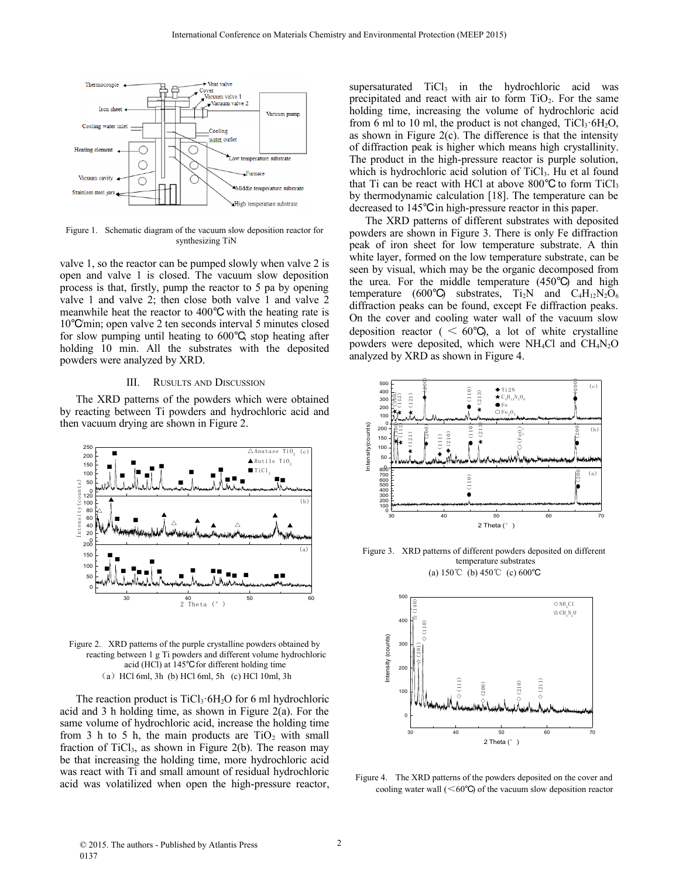

Figure 1. Schematic diagram of the vacuum slow deposition reactor for synthesizing TiN

valve 1, so the reactor can be pumped slowly when valve 2 is open and valve 1 is closed. The vacuum slow deposition process is that, firstly, pump the reactor to 5 pa by opening valve 1 and valve 2; then close both valve 1 and valve 2 meanwhile heat the reactor to 400℃ with the heating rate is 10℃/min; open valve 2 ten seconds interval 5 minutes closed for slow pumping until heating to 600℃; stop heating after holding 10 min. All the substrates with the deposited powders were analyzed by XRD.

### III. RUSULTS AND DISCUSSION

The XRD patterns of the powders which were obtained by reacting between Ti powders and hydrochloric acid and then vacuum drying are shown in Figure 2.



Figure 2. XRD patterns of the purple crystalline powders obtained by reacting between 1 g Ti powders and different volume hydrochloric acid (HCl) at 145℃ for different holding time  $(a)$  HCl 6ml, 3h (b) HCl 6ml, 5h (c) HCl 10ml, 3h

The reaction product is  $TiCl<sub>3</sub>$  6H<sub>2</sub>O for 6 ml hydrochloric acid and 3 h holding time, as shown in Figure 2(a). For the same volume of hydrochloric acid, increase the holding time from 3 h to 5 h, the main products are  $TiO<sub>2</sub>$  with small fraction of  $TiCl<sub>3</sub>$ , as shown in Figure 2(b). The reason may be that increasing the holding time, more hydrochloric acid was react with Ti and small amount of residual hydrochloric acid was volatilized when open the [high-pressure reactor,](http://dict.cnki.net/dict_result.aspx?searchword=%E9%AB%98%E5%8E%8B%E5%8F%8D%E5%BA%94%E9%87%9C&tjType=sentence&style=&t=high-pressure+reactor) supersaturated  $TiCl<sub>3</sub>$  in the hydrochloric acid was precipitated and react with air to form  $TiO<sub>2</sub>$ . For the same holding time, increasing the volume of hydrochloric acid from 6 ml to 10 ml, the product is not changed,  $TiCl<sub>3</sub>·6H<sub>2</sub>O$ , as shown in Figure  $2(c)$ . The difference is that the intensity of diffraction peak is higher which means high [crystallinity.](javascript:showjdsw() The product in the high-pressure reactor is purple solution, which is [hydrochloric acid solution](http://dict.cnki.net/dict_result.aspx?searchword=%E7%9B%90%E9%85%B8%E6%BA%B6%E6%B6%B2&tjType=sentence&style=&t=hydrochloric+acid+solution) of TiCl<sub>3</sub>. Hu et al found that Ti can be react with HCl at above  $800^{\circ}$ C to form TiCl<sub>3</sub> by thermodynamic calculation [18]. The temperature can be decreased to 145℃ in high-pressure reactor in this paper.

The XRD patterns of different substrates with deposited powders are shown in Figure 3. There is only Fe diffraction peak of iron sheet for low temperature substrate. A thin white layer, formed on the low temperature substrate, can be seen by visual, which may be the organic decomposed from the urea. For the middle temperature (450℃) and high temperature (600 $\degree$ C) substrates, Ti<sub>2</sub>N and C<sub>4</sub>H<sub>12</sub>N<sub>2</sub>O<sub>6</sub> diffraction peaks can be found, except Fe diffraction peaks. On the cover and cooling water wall of the vacuum slow deposition reactor (  $\leq 60^{\circ}$ C), a lot of white crystalline powders were deposited, which were NH4Cl and CH4N2O analyzed by XRD as shown in Figure 4.



Figure 3. XRD patterns of different powders deposited on different temperature substrates (a) 150℃ (b) 450℃ (c) 600℃



Figure 4. The XRD patterns of the powders deposited on the cover and cooling water wall  $(<60^{\circ}$ C of the vacuum slow deposition reactor